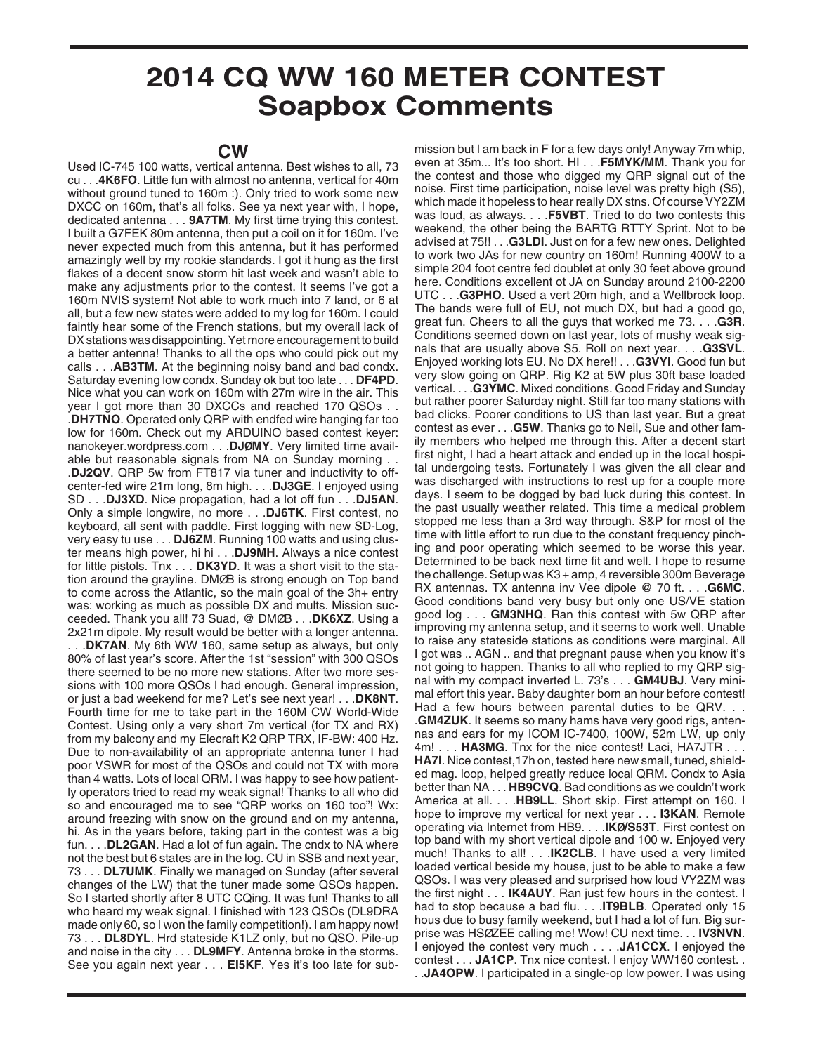## **2014 CQ WW 160 METER CONTEST Soapbox Comments**

## **CW**

Used IC-745 100 watts, vertical antenna. Best wishes to all, 73 cu . . .**4K6FO**. Little fun with almost no antenna, vertical for 40m without ground tuned to 160m :). Only tried to work some new DXCC on 160m, that's all folks. See ya next year with, I hope, dedicated antenna . . . **9A7TM**. My first time trying this contest. I built a G7FEK 80m antenna, then put a coil on it for 160m. I've never expected much from this antenna, but it has performed amazingly well by my rookie standards. I got it hung as the first flakes of a decent snow storm hit last week and wasn't able to make any adjustments prior to the contest. It seems I've got a 160m NVIS system! Not able to work much into 7 land, or 6 at all, but a few new states were added to my log for 160m. I could faintly hear some of the French stations, but my overall lack of DX stations was disappointing. Yet more encouragement to build a better antenna! Thanks to all the ops who could pick out my calls . . .**AB3TM**. At the beginning noisy band and bad condx. Saturday evening low condx. Sunday ok but too late . . . **DF4PD**. Nice what you can work on 160m with 27m wire in the air. This year I got more than 30 DXCCs and reached 170 QSOs . . .**DH7TNO**. Operated only QRP with endfed wire hanging far too low for 160m. Check out my ARDUINO based contest keyer: nanokeyer.wordpress.com . . .**DJØMY**. Very limited time available but reasonable signals from NA on Sunday morning . . .**DJ2QV**. QRP 5w from FT817 via tuner and inductivity to offcenter-fed wire 21m long, 8m high. . . .**DJ3GE**. I enjoyed using SD . . .**DJ3XD**. Nice propagation, had a lot off fun . . .**DJ5AN**. Only a simple longwire, no more . . .**DJ6TK**. First contest, no keyboard, all sent with paddle. First logging with new SD-Log, very easy tu use . . . **DJ6ZM**. Running 100 watts and using cluster means high power, hi hi . . .**DJ9MH**. Always a nice contest for little pistols. Tnx . . . **DK3YD**. It was a short visit to the station around the grayline. DMØB is strong enough on Top band to come across the Atlantic, so the main goal of the 3h+ entry was: working as much as possible DX and mults. Mission succeeded. Thank you all! 73 Suad, @ DMØB . . .**DK6XZ**. Using a 2x21m dipole. My result would be better with a longer antenna.

. . .**DK7AN**. My 6th WW 160, same setup as always, but only 80% of last year's score. After the 1st "session" with 300 QSOs there seemed to be no more new stations. After two more sessions with 100 more QSOs I had enough. General impression, or just a bad weekend for me? Let's see next year! . . .**DK8NT**. Fourth time for me to take part in the 160M CW World-Wide Contest. Using only a very short 7m vertical (for TX and RX) from my balcony and my Elecraft K2 QRP TRX, IF-BW: 400 Hz. Due to non-availability of an appropriate antenna tuner I had poor VSWR for most of the QSOs and could not TX with more than 4 watts. Lots of local QRM. I was happy to see how patiently operators tried to read my weak signal! Thanks to all who did so and encouraged me to see "QRP works on 160 too"! Wx: around freezing with snow on the ground and on my antenna, hi. As in the years before, taking part in the contest was a big fun. . . .**DL2GAN**. Had a lot of fun again. The cndx to NA where not the best but 6 states are in the log. CU in SSB and next year, 73 . . . **DL7UMK**. Finally we managed on Sunday (after several changes of the LW) that the tuner made some QSOs happen. So I started shortly after 8 UTC CQing. It was fun! Thanks to all who heard my weak signal. I finished with 123 QSOs (DL9DRA made only 60, so I won the family competition!). I am happy now! 73 . . . **DL8DYL**. Hrd stateside K1LZ only, but no QSO. Pile-up and noise in the city . . . **DL9MFY**. Antenna broke in the storms. See you again next year . . . **EI5KF**. Yes it's too late for sub-

mission but I am back in F for a few days only! Anyway 7m whip, even at 35m... It's too short. HI . . .**F5MYK/MM**. Thank you for the contest and those who digged my QRP signal out of the noise. First time participation, noise level was pretty high (S5), which made it hopeless to hear really DX stns. Of course VY2ZM was loud, as always. . . .**F5VBT**. Tried to do two contests this weekend, the other being the BARTG RTTY Sprint. Not to be advised at 75!! . . .**G3LDI**. Just on for a few new ones. Delighted to work two JAs for new country on 160m! Running 400W to a simple 204 foot centre fed doublet at only 30 feet above ground here. Conditions excellent ot JA on Sunday around 2100-2200 UTC . . .**G3PHO**. Used a vert 20m high, and a Wellbrock loop. The bands were full of EU, not much DX, but had a good go, great fun. Cheers to all the guys that worked me 73. . . .**G3R**. Conditions seemed down on last year, lots of mushy weak signals that are usually above S5. Roll on next year. . . .**G3SVL**. Enjoyed working lots EU. No DX here!! . . .**G3VYI**. Good fun but very slow going on QRP. Rig K2 at 5W plus 30ft base loaded vertical. . . .**G3YMC**. Mixed conditions. Good Friday and Sunday but rather poorer Saturday night. Still far too many stations with bad clicks. Poorer conditions to US than last year. But a great contest as ever . . .**G5W**. Thanks go to Neil, Sue and other family members who helped me through this. After a decent start first night, I had a heart attack and ended up in the local hospital undergoing tests. Fortunately I was given the all clear and was discharged with instructions to rest up for a couple more days. I seem to be dogged by bad luck during this contest. In the past usually weather related. This time a medical problem stopped me less than a 3rd way through. S&P for most of the time with little effort to run due to the constant frequency pinching and poor operating which seemed to be worse this year. Determined to be back next time fit and well. I hope to resume the challenge. Setup was K3 + amp, 4 reversible 300m Beverage RX antennas. TX antenna inv Vee dipole @ 70 ft. . . .**G6MC**. Good conditions band very busy but only one US/VE station good log . . . **GM3NHQ**. Ran this contest with 5w QRP after improving my antenna setup, and it seems to work well. Unable to raise any stateside stations as conditions were marginal. All I got was .. AGN .. and that pregnant pause when you know it's not going to happen. Thanks to all who replied to my QRP signal with my compact inverted L. 73's . . . **GM4UBJ**. Very minimal effort this year. Baby daughter born an hour before contest! Had a few hours between parental duties to be QRV. . . .**GM4ZUK**. It seems so many hams have very good rigs, antennas and ears for my ICOM IC-7400, 100W, 52m LW, up only 4m! . . . **HA3MG**. Tnx for the nice contest! Laci, HA7JTR . . . **HA7I**. Nice contest,17h on, tested here new small, tuned, shielded mag. loop, helped greatly reduce local QRM. Condx to Asia better than NA . . . **HB9CVQ**. Bad conditions as we couldn't work America at all. . . .**HB9LL**. Short skip. First attempt on 160. I hope to improve my vertical for next year . . . **I3KAN**. Remote operating via Internet from HB9. . . .**IKØ/S53T**. First contest on top band with my short vertical dipole and 100 w. Enjoyed very much! Thanks to all! . . .**IK2CLB**. I have used a very limited loaded vertical beside my house, just to be able to make a few QSOs. I was very pleased and surprised how loud VY2ZM was the first night . . . **IK4AUY**. Ran just few hours in the contest. I had to stop because a bad flu. . . .**IT9BLB**. Operated only 15 hous due to busy family weekend, but I had a lot of fun. Big surprise was HSØZEE calling me! Wow! CU next time. . . **IV3NVN**. I enjoyed the contest very much . . . .**JA1CCX**. I enjoyed the contest . . . **JA1CP**. Tnx nice contest. I enjoy WW160 contest. . . .**JA4OPW**. I participated in a single-op low power. I was using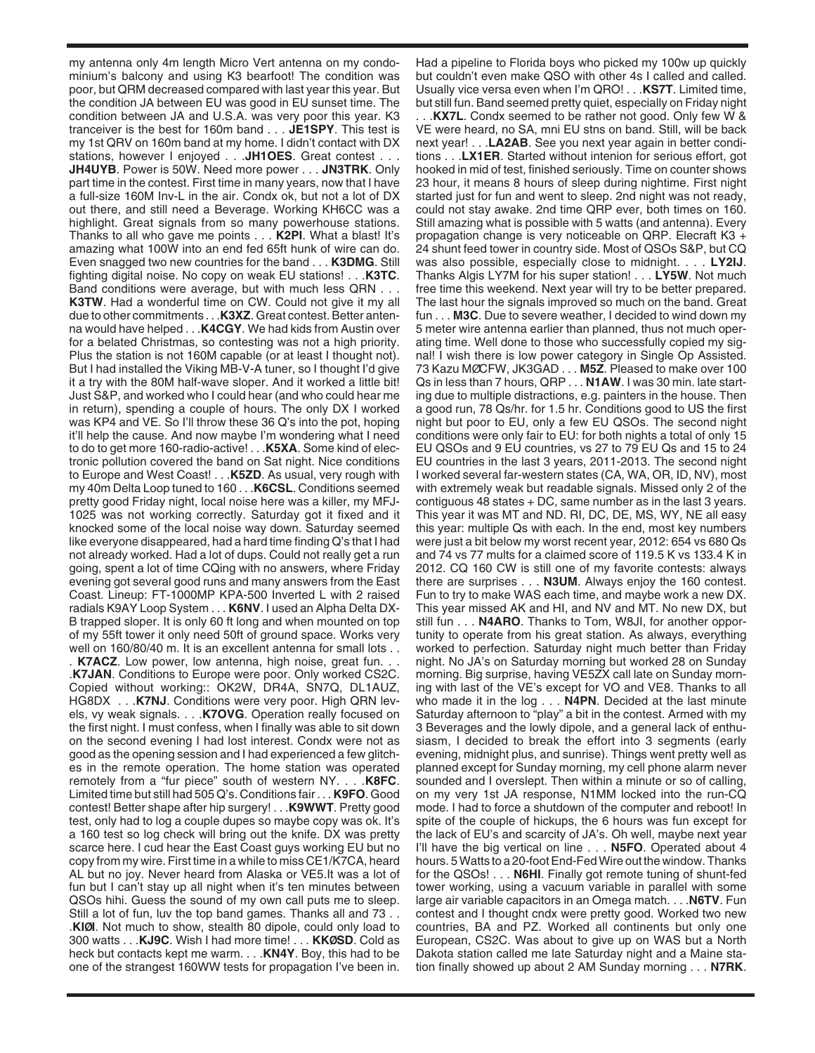my antenna only 4m length Micro Vert antenna on my condominium's balcony and using K3 bearfoot! The condition was poor, but QRM decreased compared with last year this year. But the condition JA between EU was good in EU sunset time. The condition between JA and U.S.A. was very poor this year. K3 tranceiver is the best for 160m band . . . **JE1SPY**. This test is my 1st QRV on 160m band at my home. I didn't contact with DX stations, however I enjoyed . . .**JH1OES**. Great contest . . . **JH4UYB**. Power is 50W. Need more power . . . **JN3TRK**. Only part time in the contest. First time in many years, now that I have a full-size 160M Inv-L in the air. Condx ok, but not a lot of DX out there, and still need a Beverage. Working KH6CC was a highlight. Great signals from so many powerhouse stations. Thanks to all who gave me points . . . **K2PI**. What a blast! It's amazing what 100W into an end fed 65ft hunk of wire can do. Even snagged two new countries for the band . . . **K3DMG**. Still fighting digital noise. No copy on weak EU stations! . . .**K3TC**. Band conditions were average, but with much less QRN . . . **K3TW**. Had a wonderful time on CW. Could not give it my all due to other commitments . . .**K3XZ**. Great contest. Better antenna would have helped . . .**K4CGY**. We had kids from Austin over for a belated Christmas, so contesting was not a high priority. Plus the station is not 160M capable (or at least I thought not). But I had installed the Viking MB-V-A tuner, so I thought I'd give it a try with the 80M half-wave sloper. And it worked a little bit! Just S&P, and worked who I could hear (and who could hear me in return), spending a couple of hours. The only DX I worked was KP4 and VE. So I'll throw these 36 Q's into the pot, hoping it'll help the cause. And now maybe I'm wondering what I need to do to get more 160-radio-active! . . .**K5XA**. Some kind of electronic pollution covered the band on Sat night. Nice conditions to Europe and West Coast! . . .**K5ZD**. As usual, very rough with my 40m Delta Loop tuned to 160 . . .**K6CSL**. Conditions seemed pretty good Friday night, local noise here was a killer, my MFJ-1025 was not working correctly. Saturday got it fixed and it knocked some of the local noise way down. Saturday seemed like everyone disappeared, had a hard time finding Q's that I had not already worked. Had a lot of dups. Could not really get a run going, spent a lot of time CQing with no answers, where Friday evening got several good runs and many answers from the East Coast. Lineup: FT-1000MP KPA-500 Inverted L with 2 raised radials K9AY Loop System . . . **K6NV**. I used an Alpha Delta DX-B trapped sloper. It is only 60 ft long and when mounted on top of my 55ft tower it only need 50ft of ground space. Works very well on 160/80/40 m. It is an excellent antenna for small lots . . . **K7ACZ**. Low power, low antenna, high noise, great fun. . . .**K7JAN**. Conditions to Europe were poor. Only worked CS2C. Copied without working:: OK2W, DR4A, SN7Q, DL1AUZ, HG8DX . . .**K7NJ**. Conditions were very poor. High QRN levels, vy weak signals. . . .**K7OVG**. Operation really focused on the first night. I must confess, when I finally was able to sit down on the second evening I had lost interest. Condx were not as good as the opening session and I had experienced a few glitches in the remote operation. The home station was operated remotely from a "fur piece" south of western NY. . . .**K8FC**. Limited time but still had 505 Q's. Conditions fair . . . **K9FO**. Good contest! Better shape after hip surgery! . . .**K9WWT**. Pretty good test, only had to log a couple dupes so maybe copy was ok. It's a 160 test so log check will bring out the knife. DX was pretty scarce here. I cud hear the East Coast guys working EU but no copy from my wire. First time in a while to miss CE1/K7CA, heard AL but no joy. Never heard from Alaska or VE5.It was a lot of fun but I can't stay up all night when it's ten minutes between QSOs hihi. Guess the sound of my own call puts me to sleep. Still a lot of fun, luv the top band games. Thanks all and 73 . . .**KIØI**. Not much to show, stealth 80 dipole, could only load to 300 watts . . .**KJ9C**. Wish I had more time! . . . **KKØSD**. Cold as heck but contacts kept me warm. . . .**KN4Y**. Boy, this had to be one of the strangest 160WW tests for propagation I've been in.

Had a pipeline to Florida boys who picked my 100w up quickly but couldn't even make QSO with other 4s I called and called. Usually vice versa even when I'm QRO! . . .**KS7T**. Limited time, but still fun. Band seemed pretty quiet, especially on Friday night . . .**KX7L**. Condx seemed to be rather not good. Only few W & VE were heard, no SA, mni EU stns on band. Still, will be back next year! . . .**LA2AB**. See you next year again in better conditions . . .**LX1ER**. Started without intenion for serious effort, got hooked in mid of test, finished seriously. Time on counter shows 23 hour, it means 8 hours of sleep during nightime. First night started just for fun and went to sleep. 2nd night was not ready, could not stay awake. 2nd time QRP ever, both times on 160. Still amazing what is possible with 5 watts (and antenna). Every propagation change is very noticeable on QRP. Elecraft K3 + 24 shunt feed tower in country side. Most of QSOs S&P, but CQ was also possible, especially close to midnight. . . . **LY2IJ**. Thanks Algis LY7M for his super station! . . . **LY5W**. Not much free time this weekend. Next year will try to be better prepared. The last hour the signals improved so much on the band. Great fun . . . **M3C**. Due to severe weather, I decided to wind down my 5 meter wire antenna earlier than planned, thus not much operating time. Well done to those who successfully copied my signal! I wish there is low power category in Single Op Assisted. 73 Kazu MØCFW, JK3GAD . . . **M5Z**. Pleased to make over 100 Qs in less than 7 hours, QRP . . . **N1AW**. I was 30 min. late starting due to multiple distractions, e.g. painters in the house. Then a good run, 78 Qs/hr. for 1.5 hr. Conditions good to US the first night but poor to EU, only a few EU QSOs. The second night conditions were only fair to EU: for both nights a total of only 15 EU QSOs and 9 EU countries, vs 27 to 79 EU Qs and 15 to 24 EU countries in the last 3 years, 2011-2013. The second night I worked several far-western states (CA, WA, OR, ID, NV), most with extremely weak but readable signals. Missed only 2 of the contiguous 48 states + DC, same number as in the last 3 years. This year it was MT and ND. RI, DC, DE, MS, WY, NE all easy this year: multiple Qs with each. In the end, most key numbers were just a bit below my worst recent year, 2012: 654 vs 680 Qs and 74 vs 77 mults for a claimed score of 119.5 K vs 133.4 K in 2012. CQ 160 CW is still one of my favorite contests: always there are surprises . . . **N3UM**. Always enjoy the 160 contest. Fun to try to make WAS each time, and maybe work a new DX. This year missed AK and HI, and NV and MT. No new DX, but still fun . . . **N4ARO**. Thanks to Tom, W8JI, for another opportunity to operate from his great station. As always, everything worked to perfection. Saturday night much better than Friday night. No JA's on Saturday morning but worked 28 on Sunday morning. Big surprise, having VE5ZX call late on Sunday morning with last of the VE's except for VO and VE8. Thanks to all who made it in the log . . . **N4PN**. Decided at the last minute Saturday afternoon to "play" a bit in the contest. Armed with my 3 Beverages and the lowly dipole, and a general lack of enthusiasm, I decided to break the effort into 3 segments (early evening, midnight plus, and sunrise). Things went pretty well as planned except for Sunday morning, my cell phone alarm never sounded and I overslept. Then within a minute or so of calling, on my very 1st JA response, N1MM locked into the run-CQ mode. I had to force a shutdown of the computer and reboot! In spite of the couple of hickups, the 6 hours was fun except for the lack of EU's and scarcity of JA's. Oh well, maybe next year I'll have the big vertical on line . . . **N5FO**. Operated about 4 hours. 5 Watts to a 20-foot End-Fed Wire out the window. Thanks for the QSOs! . . . **N6HI**. Finally got remote tuning of shunt-fed tower working, using a vacuum variable in parallel with some large air variable capacitors in an Omega match. . . .**N6TV**. Fun contest and I thought cndx were pretty good. Worked two new countries, BA and PZ. Worked all continents but only one European, CS2C. Was about to give up on WAS but a North Dakota station called me late Saturday night and a Maine station finally showed up about 2 AM Sunday morning . . . **N7RK**.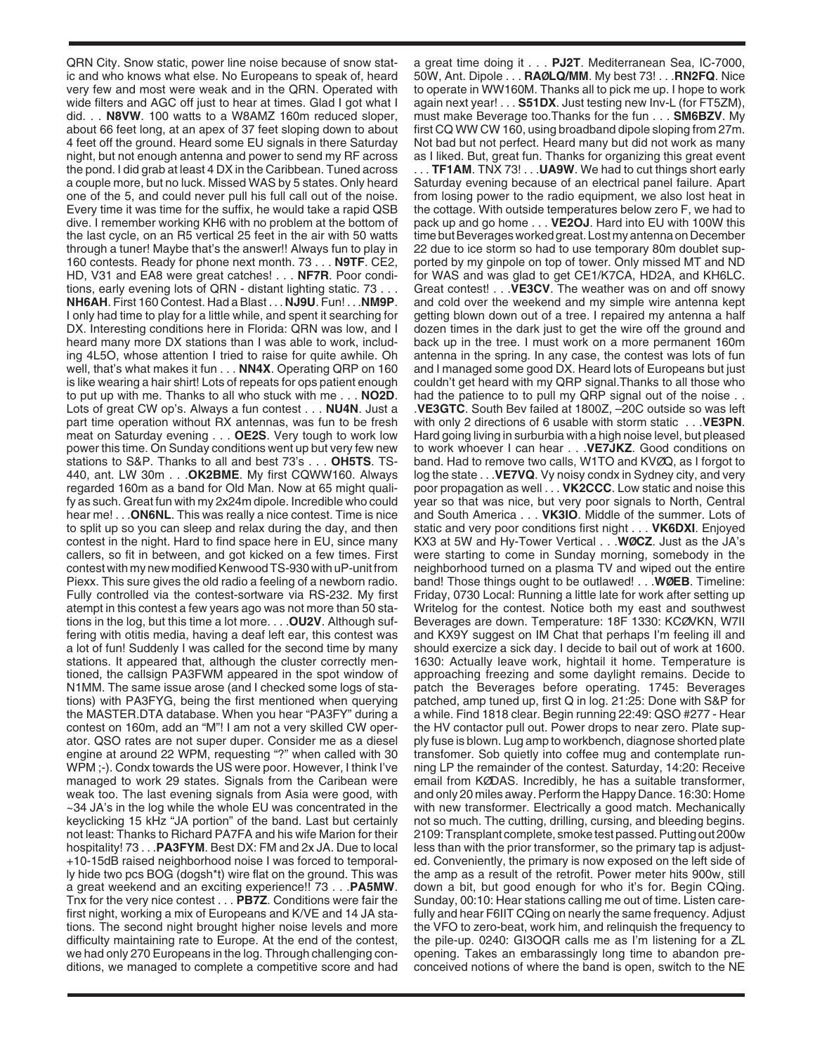QRN City. Snow static, power line noise because of snow static and who knows what else. No Europeans to speak of, heard very few and most were weak and in the QRN. Operated with wide filters and AGC off just to hear at times. Glad I got what I did. . . **N8VW**. 100 watts to a W8AMZ 160m reduced sloper, about 66 feet long, at an apex of 37 feet sloping down to about 4 feet off the ground. Heard some EU signals in there Saturday night, but not enough antenna and power to send my RF across the pond. I did grab at least 4 DX in the Caribbean. Tuned across a couple more, but no luck. Missed WAS by 5 states. Only heard one of the 5, and could never pull his full call out of the noise. Every time it was time for the suffix, he would take a rapid QSB dive. I remember working KH6 with no problem at the bottom of the last cycle, on an R5 vertical 25 feet in the air with 50 watts through a tuner! Maybe that's the answer!! Always fun to play in 160 contests. Ready for phone next month. 73 . . . **N9TF**. CE2, HD, V31 and EA8 were great catches! . . . **NF7R**. Poor conditions, early evening lots of QRN - distant lighting static. 73 . . . **NH6AH**. First 160 Contest. Had a Blast . . . **NJ9U**. Fun! . . .**NM9P**. I only had time to play for a little while, and spent it searching for DX. Interesting conditions here in Florida: QRN was low, and I heard many more DX stations than I was able to work, including 4L5O, whose attention I tried to raise for quite awhile. Oh well, that's what makes it fun . . . **NN4X**. Operating QRP on 160 is like wearing a hair shirt! Lots of repeats for ops patient enough to put up with me. Thanks to all who stuck with me . . . **NO2D**. Lots of great CW op's. Always a fun contest . . . **NU4N**. Just a part time operation without RX antennas, was fun to be fresh meat on Saturday evening . . . **OE2S**. Very tough to work low power this time. On Sunday conditions went up but very few new stations to S&P. Thanks to all and best 73's . . . **OH5TS**. TS-440, ant. LW 30m . . .**OK2BME**. My first CQWW160. Always regarded 160m as a band for Old Man. Now at 65 might qualify as such. Great fun with my 2x24m dipole. Incredible who could hear me! . . .**ON6NL**. This was really a nice contest. Time is nice to split up so you can sleep and relax during the day, and then contest in the night. Hard to find space here in EU, since many callers, so fit in between, and got kicked on a few times. First contest with my new modified Kenwood TS-930 with uP-unit from Piexx. This sure gives the old radio a feeling of a newborn radio. Fully controlled via the contest-sortware via RS-232. My first atempt in this contest a few years ago was not more than 50 stations in the log, but this time a lot more. . . .**OU2V**. Although suffering with otitis media, having a deaf left ear, this contest was a lot of fun! Suddenly I was called for the second time by many stations. It appeared that, although the cluster correctly mentioned, the callsign PA3FWM appeared in the spot window of N1MM. The same issue arose (and I checked some logs of stations) with PA3FYG, being the first mentioned when querying the MASTER.DTA database. When you hear "PA3FY" during a contest on 160m, add an "M"! I am not a very skilled CW operator. QSO rates are not super duper. Consider me as a diesel engine at around 22 WPM, requesting "?" when called with 30 WPM ;-). Condx towards the US were poor. However, I think I've managed to work 29 states. Signals from the Caribean were weak too. The last evening signals from Asia were good, with  $\sim$ 34 JA's in the log while the whole EU was concentrated in the keyclicking 15 kHz "JA portion" of the band. Last but certainly not least: Thanks to Richard PA7FA and his wife Marion for their hospitality! 73 . . .**PA3FYM**. Best DX: FM and 2x JA. Due to local +10-15dB raised neighborhood noise I was forced to temporally hide two pcs BOG (dogsh\*t) wire flat on the ground. This was a great weekend and an exciting experience!! 73 . . .**PA5MW**. Tnx for the very nice contest . . . **PB7Z**. Conditions were fair the first night, working a mix of Europeans and K/VE and 14 JA stations. The second night brought higher noise levels and more difficulty maintaining rate to Europe. At the end of the contest, we had only 270 Europeans in the log. Through challenging conditions, we managed to complete a competitive score and had

a great time doing it . . . **PJ2T**. Mediterranean Sea, IC-7000, 50W, Ant. Dipole . . . **RAØLQ/MM**. My best 73! . . .**RN2FQ**. Nice to operate in WW160M. Thanks all to pick me up. I hope to work again next year! . . . **S51DX**. Just testing new Inv-L (for FT5ZM), must make Beverage too.Thanks for the fun . . . **SM6BZV**. My first CQ WW CW 160, using broadband dipole sloping from 27m. Not bad but not perfect. Heard many but did not work as many as I liked. But, great fun. Thanks for organizing this great event . . . **TF1AM**. TNX 73! . . .**UA9W**. We had to cut things short early Saturday evening because of an electrical panel failure. Apart from losing power to the radio equipment, we also lost heat in the cottage. With outside temperatures below zero F, we had to pack up and go home . . . **VE2OJ**. Hard into EU with 100W this time but Beverages worked great. Lost my antenna on December 22 due to ice storm so had to use temporary 80m doublet supported by my ginpole on top of tower. Only missed MT and ND for WAS and was glad to get CE1/K7CA, HD2A, and KH6LC. Great contest! . . .**VE3CV**. The weather was on and off snowy and cold over the weekend and my simple wire antenna kept getting blown down out of a tree. I repaired my antenna a half dozen times in the dark just to get the wire off the ground and back up in the tree. I must work on a more permanent 160m antenna in the spring. In any case, the contest was lots of fun and I managed some good DX. Heard lots of Europeans but just couldn't get heard with my QRP signal.Thanks to all those who had the patience to to pull my QRP signal out of the noise . . .**VE3GTC**. South Bev failed at 1800Z, –20C outside so was left with only 2 directions of 6 usable with storm static . . .**VE3PN**. Hard going living in surburbia with a high noise level, but pleased to work whoever I can hear . . .**VE7JKZ**. Good conditions on band. Had to remove two calls, W1TO and KVØQ, as I forgot to log the state . . .**VE7VQ**. Vy noisy condx in Sydney city, and very poor propagation as well . . . **VK2CCC**. Low static and noise this year so that was nice, but very poor signals to North, Central and South America . . . **VK3IO**. Middle of the summer. Lots of static and very poor conditions first night . . . **VK6DXI**. Enjoyed KX3 at 5W and Hy-Tower Vertical . . .**WØCZ**. Just as the JA's were starting to come in Sunday morning, somebody in the neighborhood turned on a plasma TV and wiped out the entire band! Those things ought to be outlawed! . . .**WØEB**. Timeline: Friday, 0730 Local: Running a little late for work after setting up Writelog for the contest. Notice both my east and southwest Beverages are down. Temperature: 18F 1330: KCØVKN, W7II and KX9Y suggest on IM Chat that perhaps I'm feeling ill and should exercize a sick day. I decide to bail out of work at 1600. 1630: Actually leave work, hightail it home. Temperature is approaching freezing and some daylight remains. Decide to patch the Beverages before operating. 1745: Beverages patched, amp tuned up, first Q in log. 21:25: Done with S&P for a while. Find 1818 clear. Begin running 22:49: QSO #277 - Hear the HV contactor pull out. Power drops to near zero. Plate supply fuse is blown. Lug amp to workbench, diagnose shorted plate transfomer. Sob quietly into coffee mug and contemplate running LP the remainder of the contest. Saturday, 14:20: Receive email from KØDAS. Incredibly, he has a suitable transformer, and only 20 miles away. Perform the Happy Dance. 16:30: Home with new transformer. Electrically a good match. Mechanically not so much. The cutting, drilling, cursing, and bleeding begins. 2109: Transplant complete, smoke test passed. Putting out 200w less than with the prior transformer, so the primary tap is adjusted. Conveniently, the primary is now exposed on the left side of the amp as a result of the retrofit. Power meter hits 900w, still down a bit, but good enough for who it's for. Begin CQing. Sunday, 00:10: Hear stations calling me out of time. Listen carefully and hear F6IIT CQing on nearly the same frequency. Adjust the VFO to zero-beat, work him, and relinquish the frequency to the pile-up. 0240: GI3OQR calls me as I'm listening for a ZL opening. Takes an embarassingly long time to abandon preconceived notions of where the band is open, switch to the NE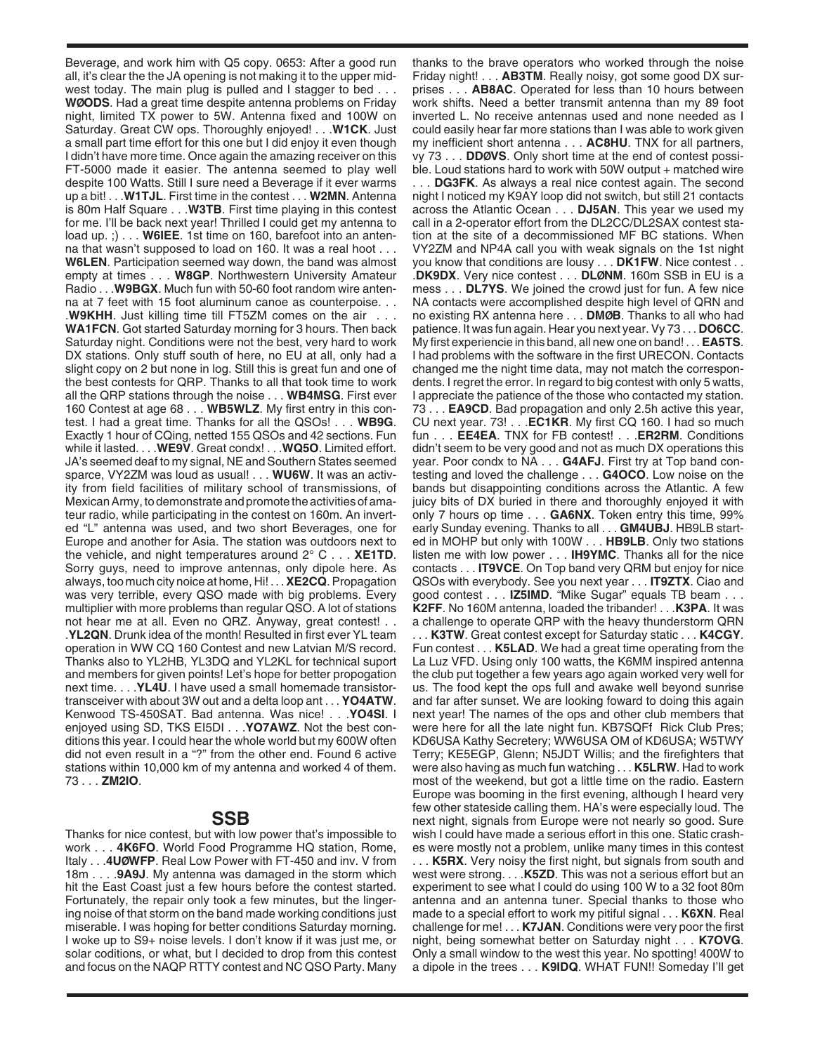Beverage, and work him with Q5 copy. 0653: After a good run all, it's clear the the JA opening is not making it to the upper midwest today. The main plug is pulled and I stagger to bed . . . **WØODS**. Had a great time despite antenna problems on Friday night, limited TX power to 5W. Antenna fixed and 100W on Saturday. Great CW ops. Thoroughly enjoyed! . . .**W1CK**. Just a small part time effort for this one but I did enjoy it even though I didn't have more time. Once again the amazing receiver on this FT-5000 made it easier. The antenna seemed to play well despite 100 Watts. Still I sure need a Beverage if it ever warms up a bit! . . .**W1TJL**. First time in the contest . . . **W2MN**. Antenna is 80m Half Square . . .**W3TB**. First time playing in this contest for me. I'll be back next year! Thrilled I could get my antenna to load up. ;) . . . **W6IEE**. 1st time on 160, barefoot into an antenna that wasn't supposed to load on 160. It was a real hoot . . . **W6LEN**. Participation seemed way down, the band was almost empty at times . . . **W8GP**. Northwestern University Amateur Radio . . .**W9BGX**. Much fun with 50-60 foot random wire antenna at 7 feet with 15 foot aluminum canoe as counterpoise. . . .**W9KHH**. Just killing time till FT5ZM comes on the air . . . **WA1FCN**. Got started Saturday morning for 3 hours. Then back Saturday night. Conditions were not the best, very hard to work DX stations. Only stuff south of here, no EU at all, only had a slight copy on 2 but none in log. Still this is great fun and one of the best contests for QRP. Thanks to all that took time to work all the QRP stations through the noise . . . **WB4MSG**. First ever 160 Contest at age 68 . . . **WB5WLZ**. My first entry in this contest. I had a great time. Thanks for all the QSOs! . . . **WB9G**. Exactly 1 hour of CQing, netted 155 QSOs and 42 sections. Fun while it lasted. . . .**WE9V**. Great condx! . . .**WQ5O**. Limited effort. JA's seemed deaf to my signal, NE and Southern States seemed sparce, VY2ZM was loud as usual! . . . **WU6W**. It was an activity from field facilities of military school of transmissions, of Mexican Army, to demonstrate and promote the activities of amateur radio, while participating in the contest on 160m. An inverted "L" antenna was used, and two short Beverages, one for Europe and another for Asia. The station was outdoors next to the vehicle, and night temperatures around 2° C . . . **XE1TD**. Sorry guys, need to improve antennas, only dipole here. As always, too much city noice at home, Hi! . . . **XE2CQ**. Propagation was very terrible, every QSO made with big problems. Every multiplier with more problems than regular QSO. A lot of stations not hear me at all. Even no QRZ. Anyway, great contest! . . .**YL2QN**. Drunk idea of the month! Resulted in first ever YL team operation in WW CQ 160 Contest and new Latvian M/S record. Thanks also to YL2HB, YL3DQ and YL2KL for technical suport and members for given points! Let's hope for better propogation next time. . . .**YL4U**. I have used a small homemade transistortransceiver with about 3W out and a delta loop ant . . . **YO4ATW**. Kenwood TS-450SAT. Bad antenna. Was nice! . . .**YO4SI**. I enjoyed using SD, TKS EI5DI . . .**YO7AWZ**. Not the best conditions this year. I could hear the whole world but my 600W often did not even result in a "?" from the other end. Found 6 active stations within 10,000 km of my antenna and worked 4 of them. 73 . . . **ZM2IO**.

## **SSB**

Thanks for nice contest, but with low power that's impossible to work . . . **4K6FO**. World Food Programme HQ station, Rome, Italy . . .**4UØWFP**. Real Low Power with FT-450 and inv. V from 18m . . . .**9A9J**. My antenna was damaged in the storm which hit the East Coast just a few hours before the contest started. Fortunately, the repair only took a few minutes, but the lingering noise of that storm on the band made working conditions just miserable. I was hoping for better conditions Saturday morning. I woke up to S9+ noise levels. I don't know if it was just me, or solar coditions, or what, but I decided to drop from this contest and focus on the NAQP RTTY contest and NC QSO Party. Many

thanks to the brave operators who worked through the noise Friday night! . . . **AB3TM**. Really noisy, got some good DX surprises . . . **AB8AC**. Operated for less than 10 hours between work shifts. Need a better transmit antenna than my 89 foot inverted L. No receive antennas used and none needed as I could easily hear far more stations than I was able to work given my inefficient short antenna . . . **AC8HU**. TNX for all partners, vy 73 . . . **DDØVS**. Only short time at the end of contest possible. Loud stations hard to work with 50W output + matched wire

. . . **DG3FK**. As always a real nice contest again. The second night I noticed my K9AY loop did not switch, but still 21 contacts across the Atlantic Ocean . . . **DJ5AN**. This year we used my call in a 2-operator effort from the DL2CC/DL2SAX contest station at the site of a decommissioned MF BC stations. When VY2ZM and NP4A call you with weak signals on the 1st night you know that conditions are lousy . . . **DK1FW**. Nice contest . . .**DK9DX**. Very nice contest . . . **DLØNM**. 160m SSB in EU is a mess . . . **DL7YS**. We joined the crowd just for fun. A few nice NA contacts were accomplished despite high level of QRN and no existing RX antenna here . . . **DMØB**. Thanks to all who had patience. It was fun again. Hear you next year. Vy 73 . . . **DO6CC**. My first experiencie in this band, all new one on band! . . . **EA5TS**. I had problems with the software in the first URECON. Contacts changed me the night time data, may not match the correspondents. I regret the error. In regard to big contest with only 5 watts, I appreciate the patience of the those who contacted my station. 73 . . . **EA9CD**. Bad propagation and only 2.5h active this year, CU next year. 73! . . .**EC1KR**. My first CQ 160. I had so much fun . . . **EE4EA**. TNX for FB contest! . . .**ER2RM**. Conditions didn't seem to be very good and not as much DX operations this year. Poor condx to NA . . . **G4AFJ**. First try at Top band contesting and loved the challenge . . . **G4OCO**. Low noise on the bands but disappointing conditions across the Atlantic. A few juicy bits of DX buried in there and thoroughly enjoyed it with only 7 hours op time . . . **GA6NX**. Token entry this time, 99% early Sunday evening. Thanks to all . . . **GM4UBJ**. HB9LB started in MOHP but only with 100W . . . **HB9LB**. Only two stations listen me with low power . . . **IH9YMC**. Thanks all for the nice contacts . . . **IT9VCE**. On Top band very QRM but enjoy for nice QSOs with everybody. See you next year . . . **IT9ZTX**. Ciao and good contest . . . **IZ5IMD**. "Mike Sugar" equals TB beam . . . **K2FF**. No 160M antenna, loaded the tribander! . . .**K3PA**. It was a challenge to operate QRP with the heavy thunderstorm QRN

. . . **K3TW**. Great contest except for Saturday static . . . **K4CGY**. Fun contest . . . **K5LAD**. We had a great time operating from the La Luz VFD. Using only 100 watts, the K6MM inspired antenna the club put together a few years ago again worked very well for us. The food kept the ops full and awake well beyond sunrise and far after sunset. We are looking foward to doing this again next year! The names of the ops and other club members that were here for all the late night fun. KB7SQFf Rick Club Pres; KD6USA Kathy Secretery; WW6USA OM of KD6USA; W5TWY Terry; KE5EGP, Glenn; N5JDT Willis; and the firefighters that were also having as much fun watching . . . **K5LRW**. Had to work most of the weekend, but got a little time on the radio. Eastern Europe was booming in the first evening, although I heard very few other stateside calling them. HA's were especially loud. The next night, signals from Europe were not nearly so good. Sure wish I could have made a serious effort in this one. Static crashes were mostly not a problem, unlike many times in this contest

. . . **K5RX**. Very noisy the first night, but signals from south and west were strong. . . .**K5ZD**. This was not a serious effort but an experiment to see what I could do using 100 W to a 32 foot 80m antenna and an antenna tuner. Special thanks to those who made to a special effort to work my pitiful signal . . . **K6XN**. Real challenge for me! . . . **K7JAN**. Conditions were very poor the first night, being somewhat better on Saturday night . . . **K7OVG**. Only a small window to the west this year. No spotting! 400W to a dipole in the trees . . . **K9IDQ**. WHAT FUN!! Someday I'll get